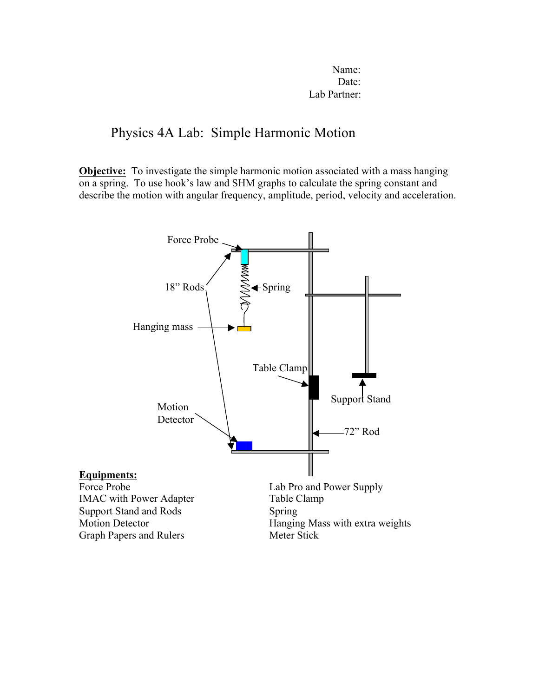Name: Date: Lab Partner:

# Physics 4A Lab: Simple Harmonic Motion

**Objective:** To investigate the simple harmonic motion associated with a mass hanging on a spring. To use hook's law and SHM graphs to calculate the spring constant and describe the motion with angular frequency, amplitude, period, velocity and acceleration.

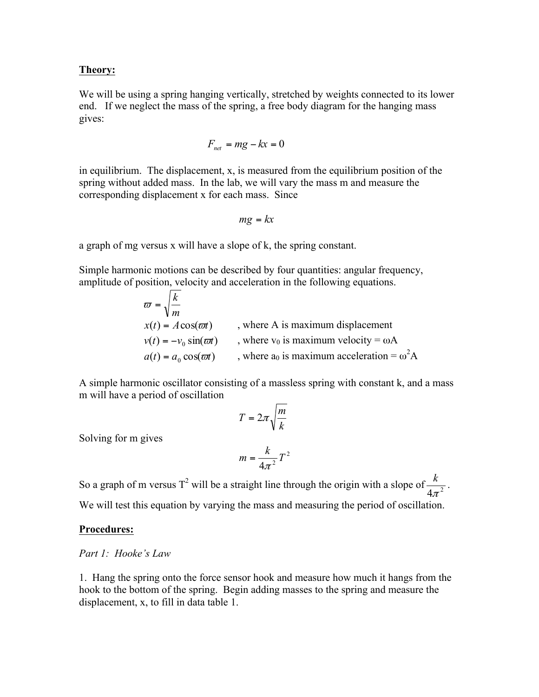# **Theory:**

We will be using a spring hanging vertically, stretched by weights connected to its lower end. If we neglect the mass of the spring, a free body diagram for the hanging mass gives:

$$
F_{net} = mg - kx = 0
$$

in equilibrium. The displacement, x, is measured from the equilibrium position of the spring without added mass. In the lab, we will vary the mass m and measure the corresponding displacement x for each mass. Since

$$
mg = kx
$$

a graph of mg versus x will have a slope of k, the spring constant.

Simple harmonic motions can be described by four quantities: angular frequency, amplitude of position, velocity and acceleration in the following equations.

$$
\overline{\omega} = \sqrt{\frac{k}{m}}
$$
  
x(t) = A cos(\overline{\omega}t) , where A is maximum displacement  
v(t) = -v<sub>0</sub> sin(\overline{\omega}t) , where v<sub>0</sub> is maximum velocity =  $\omega A$   
a(t) = a<sub>0</sub> cos(\overline{\omega}t) , where a<sub>0</sub> is maximum acceleration =  $\omega^2 A$ 

A simple harmonic oscillator consisting of a massless spring with constant k, and a mass m will have a period of oscillation

$$
T = 2\pi \sqrt{\frac{m}{k}}
$$

Solving for m gives

$$
m = \frac{k}{4\pi^2}T^2
$$

So a graph of m versus T<sup>2</sup> will be a straight line through the origin with a slope of  $\frac{k}{4\pi^2}$ . We will test this equation by varying the mass and measuring the period of oscillation.

### **Procedures:**

#### *Part 1: Hooke's Law*

1. Hang the spring onto the force sensor hook and measure how much it hangs from the hook to the bottom of the spring. Begin adding masses to the spring and measure the displacement, x, to fill in data table 1.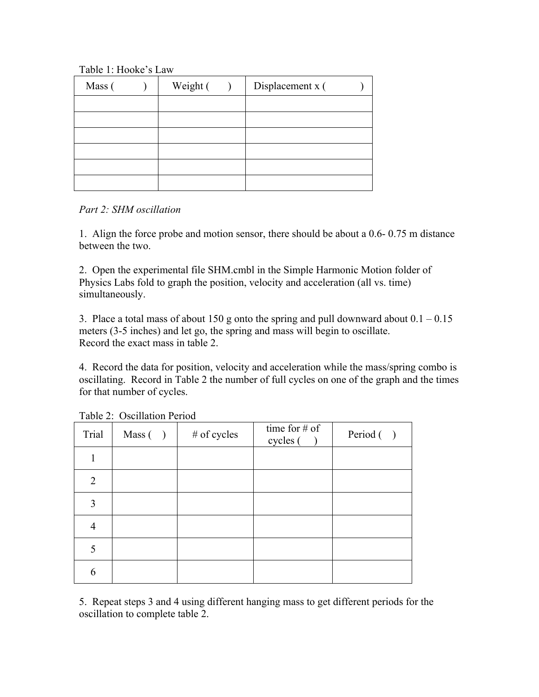Table 1: Hooke's Law

| Mass ( | Weight ( | Displacement x ( |  |
|--------|----------|------------------|--|
|        |          |                  |  |
|        |          |                  |  |
|        |          |                  |  |
|        |          |                  |  |
|        |          |                  |  |
|        |          |                  |  |

*Part 2: SHM oscillation*

1. Align the force probe and motion sensor, there should be about a 0.6- 0.75 m distance between the two.

2. Open the experimental file SHM.cmbl in the Simple Harmonic Motion folder of Physics Labs fold to graph the position, velocity and acceleration (all vs. time) simultaneously.

3. Place a total mass of about 150 g onto the spring and pull downward about  $0.1 - 0.15$ meters (3-5 inches) and let go, the spring and mass will begin to oscillate. Record the exact mass in table 2.

4. Record the data for position, velocity and acceleration while the mass/spring combo is oscillating. Record in Table 2 the number of full cycles on one of the graph and the times for that number of cycles.

| Trial          | Mass( ) | # of cycles | time for $#$ of<br>cycles ( | Period () |
|----------------|---------|-------------|-----------------------------|-----------|
|                |         |             |                             |           |
| $\overline{2}$ |         |             |                             |           |
| 3              |         |             |                             |           |
| 4              |         |             |                             |           |
| 5              |         |             |                             |           |
| 6              |         |             |                             |           |

Table 2: Oscillation Period

5. Repeat steps 3 and 4 using different hanging mass to get different periods for the oscillation to complete table 2.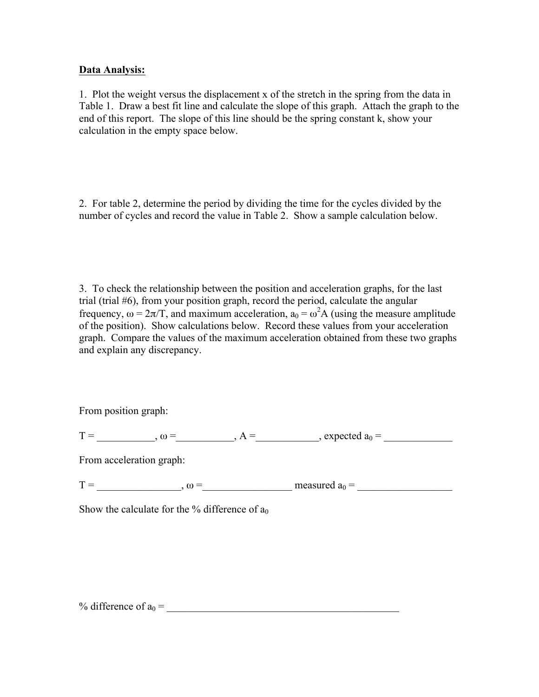## **Data Analysis:**

1. Plot the weight versus the displacement x of the stretch in the spring from the data in Table 1. Draw a best fit line and calculate the slope of this graph. Attach the graph to the end of this report. The slope of this line should be the spring constant k, show your calculation in the empty space below.

2. For table 2, determine the period by dividing the time for the cycles divided by the number of cycles and record the value in Table 2. Show a sample calculation below.

3. To check the relationship between the position and acceleration graphs, for the last trial (trial #6), from your position graph, record the period, calculate the angular frequency,  $\omega = 2\pi/T$ , and maximum acceleration,  $a_0 = \omega^2 A$  (using the measure amplitude of the position). Show calculations below. Record these values from your acceleration graph. Compare the values of the maximum acceleration obtained from these two graphs and explain any discrepancy.

From position graph:

| <u>тт</u><br> |  |  |  |  |  |
|---------------|--|--|--|--|--|
|---------------|--|--|--|--|--|

From acceleration graph:

T = \_\_\_\_\_\_\_\_\_\_\_\_\_\_\_\_, ω =\_\_\_\_\_\_\_\_\_\_\_\_\_\_\_\_\_ measured a0 = \_\_\_\_\_\_\_\_\_\_\_\_\_\_\_\_\_\_

Show the calculate for the % difference of  $a_0$ 

% difference of  $a_0 =$